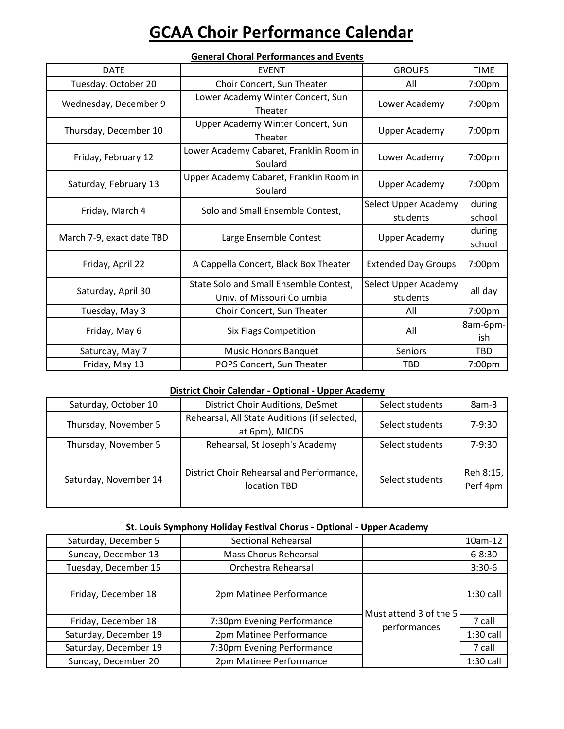# **GCAA Choir Performance Calendar**

| General Choral Performances and Events |                                                                      |                                  |                    |
|----------------------------------------|----------------------------------------------------------------------|----------------------------------|--------------------|
| <b>DATE</b>                            | <b>EVENT</b>                                                         | <b>GROUPS</b>                    | <b>TIME</b>        |
| Tuesday, October 20                    | Choir Concert, Sun Theater                                           | All                              | 7:00pm             |
| Wednesday, December 9                  | Lower Academy Winter Concert, Sun<br>Theater                         | Lower Academy                    | 7:00 <sub>pm</sub> |
| Thursday, December 10                  | Upper Academy Winter Concert, Sun<br>Theater                         | <b>Upper Academy</b>             | 7:00pm             |
| Friday, February 12                    | Lower Academy Cabaret, Franklin Room in<br>Soulard                   | Lower Academy                    | 7:00pm             |
| Saturday, February 13                  | Upper Academy Cabaret, Franklin Room in<br>Soulard                   | <b>Upper Academy</b>             | 7:00pm             |
| Friday, March 4                        | Solo and Small Ensemble Contest,                                     | Select Upper Academy<br>students | during<br>school   |
| March 7-9, exact date TBD              | Large Ensemble Contest                                               | <b>Upper Academy</b>             | during<br>school   |
| Friday, April 22                       | A Cappella Concert, Black Box Theater                                | <b>Extended Day Groups</b>       | 7:00pm             |
| Saturday, April 30                     | State Solo and Small Ensemble Contest,<br>Univ. of Missouri Columbia | Select Upper Academy<br>students | all day            |
| Tuesday, May 3                         | Choir Concert, Sun Theater                                           | All                              | 7:00pm             |
| Friday, May 6                          | Six Flags Competition                                                | All                              | 8am-6pm-<br>ish    |
| Saturday, May 7                        | <b>Music Honors Banquet</b>                                          | Seniors                          | <b>TBD</b>         |
| Friday, May 13                         | POPS Concert, Sun Theater                                            | <b>TBD</b>                       | 7:00 <sub>pm</sub> |

### **General Choral Performances and Events**

### **District Choir Calendar - Optional - Upper Academy**

| Saturday, October 10  | District Choir Auditions, DeSmet                               | Select students | 8am-3                 |
|-----------------------|----------------------------------------------------------------|-----------------|-----------------------|
| Thursday, November 5  | Rehearsal, All State Auditions (if selected,<br>at 6pm), MICDS | Select students | 7-9:30                |
| Thursday, November 5  | Rehearsal, St Joseph's Academy                                 | Select students | $7-9:30$              |
| Saturday, November 14 | District Choir Rehearsal and Performance,<br>location TBD      | Select students | Reh 8:15,<br>Perf 4pm |

#### **St. Louis Symphony Holiday Festival Chorus - Optional - Upper Academy**

| -------               |                              |                                        |             |
|-----------------------|------------------------------|----------------------------------------|-------------|
| Saturday, December 5  | <b>Sectional Rehearsal</b>   |                                        | 10am-12     |
| Sunday, December 13   | <b>Mass Chorus Rehearsal</b> |                                        | $6 - 8:30$  |
| Tuesday, December 15  | Orchestra Rehearsal          |                                        | $3:30-6$    |
| Friday, December 18   | 2pm Matinee Performance      | Must attend 3 of the 5<br>performances | $1:30$ call |
| Friday, December 18   | 7:30pm Evening Performance   |                                        | 7 call      |
| Saturday, December 19 | 2pm Matinee Performance      |                                        | $1:30$ call |
| Saturday, December 19 | 7:30pm Evening Performance   |                                        | 7 call      |
| Sunday, December 20   | 2pm Matinee Performance      |                                        | $1:30$ call |